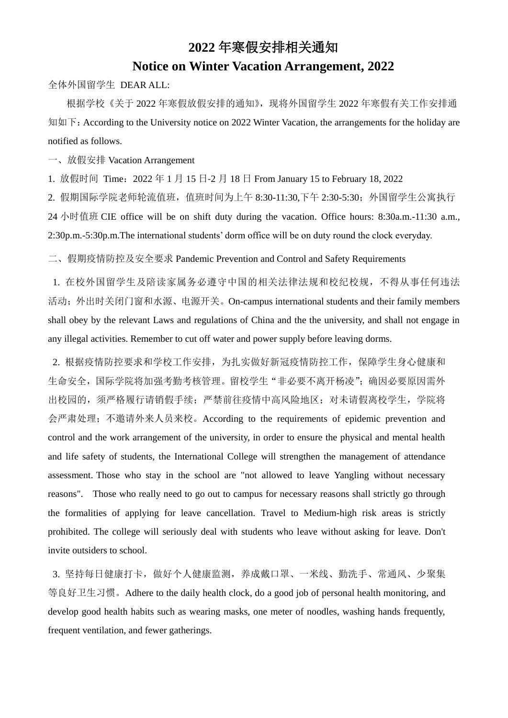# **2022** 年寒假安排相关通知

### **Notice on Winter Vacation Arrangement, 2022**

全体外国留学生 DEAR ALL:

根据学校《关于 2022 年寒假放假安排的通知》,现将外国留学生 2022 年寒假有关工作安排通 知如下: According to the University notice on 2022 Winter Vacation, the arrangements for the holiday are notified as follows.

一、放假安排 Vacation Arrangement

2. 假期国际学院老师轮流值班, 值班时间为上午 8:30-11:30,下午 2:30-5:30; 外国留学生公寓执行 24 小时值班 CIE office will be on shift duty during the vacation. Office hours: 8:30a.m.-11:30 a.m., 2:30p.m.-5:30p.m.The international students' dorm office will be on duty round the clock everyday.

1. 放假时间 Time:2022 年 1 月 15 日-2 月 18 日 From January 15 to February 18, 2022

二、假期疫情防控及安全要求 Pandemic Prevention and Control and Safety Requirements

1. 在校外国留学生及陪读家属务必遵守中国的相关法律法规和校纪校规,不得从事任何违法 活动;外出时关闭门窗和水源、电源开关。On-campus international students and their family members shall obey by the relevant Laws and regulations of China and the the university, and shall not engage in any illegal activities. Remember to cut off water and power supply before leaving dorms.

3. 坚持每日健康打卡, 做好个人健康监测, 养成戴口罩、一米线、勤洗手、常通风、少聚集 等良好卫生习惯。Adhere to the daily health clock, do a good job of personal health monitoring, and develop good health habits such as wearing masks, one meter of noodles, washing hands frequently, frequent ventilation, and fewer gatherings.

2. 根据疫情防控要求和学校工作安排,为扎实做好新冠疫情防控工作,保障学生身心健康和 生命安全,国际学院将加强考勤考核管理。留校学生"非必要不离开杨凌";确因必要原因需外 出校园的,须严格履行请销假手续;严禁前往疫情中高风险地区;对未请假离校学生,学院将 会严肃处理;不邀请外来人员来校。According to the requirements of epidemic prevention and control and the work arrangement of the university, in order to ensure the physical and mental health and life safety of students, the International College will strengthen the management of attendance assessment. Those who stay in the school are "not allowed to leave Yangling without necessary reasons". Those who really need to go out to campus for necessary reasons shall strictly go through the formalities of applying for leave cancellation. Travel to Medium-high risk areas is strictly prohibited. The college will seriously deal with students who leave without asking for leave. Don't

#### invite outsiders to school.